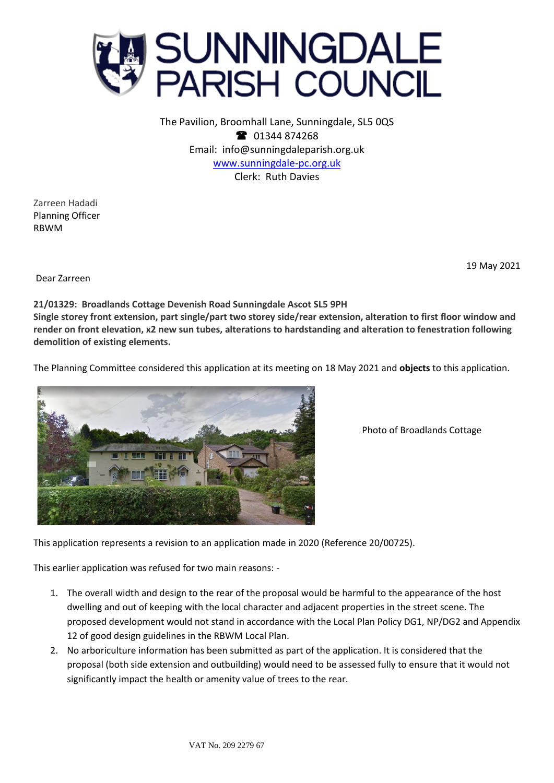

The Pavilion, Broomhall Lane, Sunningdale, SL5 0QS <sup>2</sup> 01344 874268 Email: info@sunningdaleparish.org.uk [www.sunningdale-pc.org.uk](http://www.sunningdale-pc.org.uk/) Clerk: Ruth Davies

Zarreen Hadadi Planning Officer RBWM

19 May 2021

Dear Zarreen

## **21/01329: Broadlands Cottage Devenish Road Sunningdale Ascot SL5 9PH**

**Single storey front extension, part single/part two storey side/rear extension, alteration to first floor window and render on front elevation, x2 new sun tubes, alterations to hardstanding and alteration to fenestration following demolition of existing elements.**

The Planning Committee considered this application at its meeting on 18 May 2021 and **objects** to this application.



Photo of Broadlands Cottage

This application represents a revision to an application made in 2020 (Reference 20/00725).

This earlier application was refused for two main reasons: -

- 1. The overall width and design to the rear of the proposal would be harmful to the appearance of the host dwelling and out of keeping with the local character and adjacent properties in the street scene. The proposed development would not stand in accordance with the Local Plan Policy DG1, NP/DG2 and Appendix 12 of good design guidelines in the RBWM Local Plan.
- 2. No arboriculture information has been submitted as part of the application. It is considered that the proposal (both side extension and outbuilding) would need to be assessed fully to ensure that it would not significantly impact the health or amenity value of trees to the rear.